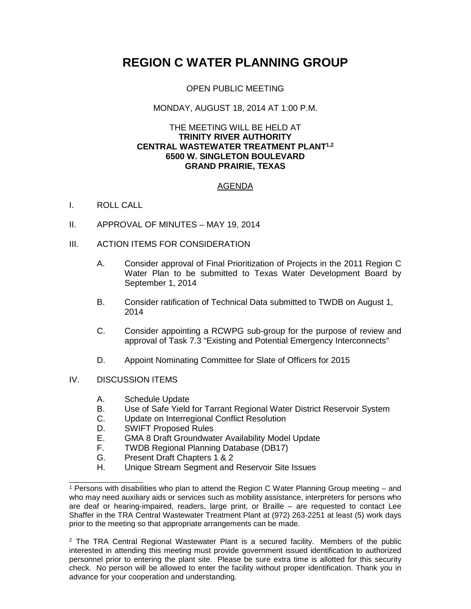# **REGION C WATER PLANNING GROUP**

### OPEN PUBLIC MEETING

### MONDAY, AUGUST 18, 2014 AT 1:00 P.M.

#### THE MEETING WILL BE HELD AT **TRINITY RIVER AUTHORITY CENTRAL WASTEWATER TREATMENT PLANT1,2 6500 W. SINGLETON BOULEVARD GRAND PRAIRIE, TEXAS**

## AGENDA

#### I. ROLL CALL

- II. APPROVAL OF MINUTES MAY 19, 2014
- III. ACTION ITEMS FOR CONSIDERATION
	- A. Consider approval of Final Prioritization of Projects in the 2011 Region C Water Plan to be submitted to Texas Water Development Board by September 1, 2014
	- B. Consider ratification of Technical Data submitted to TWDB on August 1, 2014
	- C. Consider appointing a RCWPG sub-group for the purpose of review and approval of Task 7.3 "Existing and Potential Emergency Interconnects"
	- D. Appoint Nominating Committee for Slate of Officers for 2015

#### IV. DISCUSSION ITEMS

\_\_\_\_\_\_\_\_\_\_\_\_\_\_\_\_

- A. Schedule Update
- B. Use of Safe Yield for Tarrant Regional Water District Reservoir System<br>C. Update on Interregional Conflict Resolution
- Update on Interregional Conflict Resolution
- D. SWIFT Proposed Rules<br>E. GMA 8 Draft Groundwat
- GMA 8 Draft Groundwater Availability Model Update
- F. TWDB Regional Planning Database (DB17)
- G. Present Draft Chapters 1 & 2<br>H. Unique Stream Seqment and
- Unique Stream Segment and Reservoir Site Issues

 $2$  The TRA Central Regional Wastewater Plant is a secured facility. Members of the public interested in attending this meeting must provide government issued identification to authorized personnel prior to entering the plant site. Please be sure extra time is allotted for this security check. No person will be allowed to enter the facility without proper identification. Thank you in advance for your cooperation and understanding.

<sup>1</sup> Persons with disabilities who plan to attend the Region C Water Planning Group meeting – and who may need auxiliary aids or services such as mobility assistance, interpreters for persons who are deaf or hearing-impaired, readers, large print, or Braille – are requested to contact Lee Shaffer in the TRA Central Wastewater Treatment Plant at (972) 263-2251 at least (5) work days prior to the meeting so that appropriate arrangements can be made.